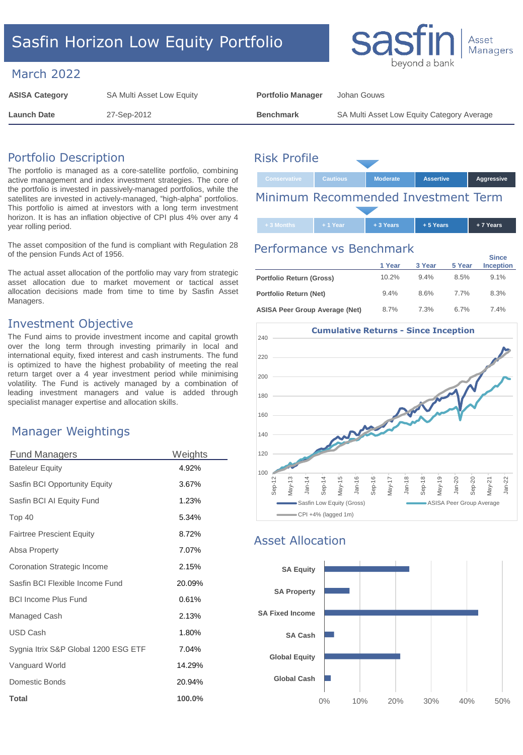# Sasfin Horizon Low Equity Portfolio

#### March 2022

| <b>ASISA Category</b> | SA Multi Asset Low Equity | <b>Portfolio Manager</b> | Johan Gouws                                |
|-----------------------|---------------------------|--------------------------|--------------------------------------------|
| <b>Launch Date</b>    | 27-Sep-2012               | <b>Benchmark</b>         | SA Multi Asset Low Equity Category Average |

# Portfolio Description

The portfolio is managed as a core-satellite portfolio, combining active management and index investment strategies. The core of the portfolio is invested in passively-managed portfolios, while the satellites are invested in actively-managed, "high-alpha" portfolios. This portfolio is aimed at investors with a long term investment horizon. It is has an inflation objective of CPI plus 4% over any 4 year rolling period.

The asset composition of the fund is compliant with Regulation 28 of the pension Funds Act of 1956.

The actual asset allocation of the portfolio may vary from strategic asset allocation due to market movement or tactical asset allocation decisions made from time to time by Sasfin Asset Managers.

#### Investment Objective

The Fund aims to provide investment income and capital growth over the long term through investing primarily in local and international equity, fixed interest and cash instruments. The fund is optimized to have the highest probability of meeting the real return target over a 4 year investment period while minimising volatility. The Fund is actively managed by a combination of leading investment managers and value is added through specialist manager expertise and allocation skills.

#### Manager Weightings

| <b>Fund Managers</b>                 | Weights   |
|--------------------------------------|-----------|
| <b>Bateleur Equity</b>               | 4.92%     |
| Sasfin BCI Opportunity Equity        | 3.67%     |
| Sasfin BCI AI Equity Fund            | 1.23%     |
| Top 40                               | 5.34%     |
| <b>Fairtree Prescient Equity</b>     | 8.72%     |
| Absa Property                        | 7.07%     |
| Coronation Strategic Income          | 2.15%     |
| Sasfin BCI Flexible Income Fund      | 20.09%    |
| <b>BCI Income Plus Fund</b>          | 0.61%     |
| Managed Cash                         | 2.13%     |
| <b>USD Cash</b>                      | 1.80%     |
| Sygnia Itrix S&P Global 1200 ESG ETF | 7.04%     |
| Vanguard World                       | 14.29%    |
| Domestic Bonds                       | 20.94%    |
| Total                                | $100.0\%$ |

# **Conservative Cautious Moderate Assertive Aggressive** Risk Profile

Minimum Recommended Investment Term

**+ 3 Months + 1 Year + 3 Years + 5 Years + 7 Years**

# Performance vs Benchmark

|                                       | 1 Year | 3 Year | 5 Year | <b>Since</b><br><b>Inception</b> |
|---------------------------------------|--------|--------|--------|----------------------------------|
| Portfolio Return (Gross)              | 10.2%  | 9.4%   | 8.5%   | 9.1%                             |
| Portfolio Return (Net)                | 9.4%   | 8.6%   | 77%    | 8.3%                             |
| <b>ASISA Peer Group Average (Net)</b> | 8.7%   | 7.3%   | 6.7%   | 74%                              |



# Asset Allocation